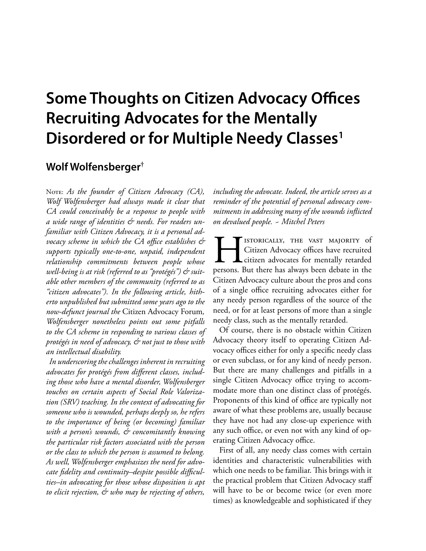# **Some Thoughts on Citizen Advocacy O!ces Recruiting Advocates for the Mentally Disordered or for Multiple Needy Classes1**

## **Wolf Wolfensberger†**

NOTE: As the founder of Citizen Advocacy (CA), *Wolf Wolfensberger had always made it clear that CA could conceivably be a response to people with a wide range of identities & needs. For readers unfamiliar with Citizen Advocacy, it is a personal advocacy scheme in which the CA o!ce establishes & supports typically one-to-one, unpaid, independent relationship commitments between people whose well-being is at risk (referred to as "protégés") & suitable other members of the community (referred to as "citizen advocates"). In the following article, hitherto unpublished but submitted some years ago to the now-defunct journal the* Citizen Advocacy Forum*, Wolfensberger nonetheless points out some pitfalls to the CA scheme in responding to various classes of protégés in need of advocacy, & not just to those with an intellectual disability.*

*In underscoring the challenges inherent in recruiting advocates for protégés from di"erent classes, including those who have a mental disorder, Wolfensberger touches on certain aspects of Social Role Valorization (SRV) teaching. In the context of advocating for someone who is wounded, perhaps deeply so, he refers to the importance of being (or becoming) familiar with a person's wounds, & concomitantly knowing the particular risk factors associated with the person or the class to which the person is assumed to belong. As well, Wolfensberger emphasizes the need for advo*cate fidelity and continuity-despite possible difficul*ties–in advocating for those whose disposition is apt to elicit rejection, & who may be rejecting of others,* 

*including the advocate. Indeed, the article serves as a reminder of the potential of personal advocacy commitments in addressing many of the wounds inflicted on devalued people. ~ Mitchel Peters*

ISTORICALLY, THE VAST MAJORITY of Citizen Advocacy offices have recruited persons. But there has always been debate in the Citizen Advocacy offices have recruited **L** citizen advocates for mentally retarded persons. But there has always been debate in the Citizen Advocacy culture about the pros and cons of a single office recruiting advocates either for any needy person regardless of the source of the need, or for at least persons of more than a single needy class, such as the mentally retarded.

Of course, there is no obstacle within Citizen Advocacy theory itself to operating Citizen Advocacy offices either for only a specific needy class or even subclass, or for any kind of needy person. But there are many challenges and pitfalls in a single Citizen Advocacy office trying to accommodate more than one distinct class of protégés. Proponents of this kind of office are typically not aware of what these problems are, usually because they have not had any close-up experience with any such office, or even not with any kind of operating Citizen Advocacy office.

First of all, any needy class comes with certain identities and characteristic vulnerabilities with which one needs to be familiar. This brings with it the practical problem that Citizen Advocacy staff will have to be or become twice (or even more times) as knowledgeable and sophisticated if they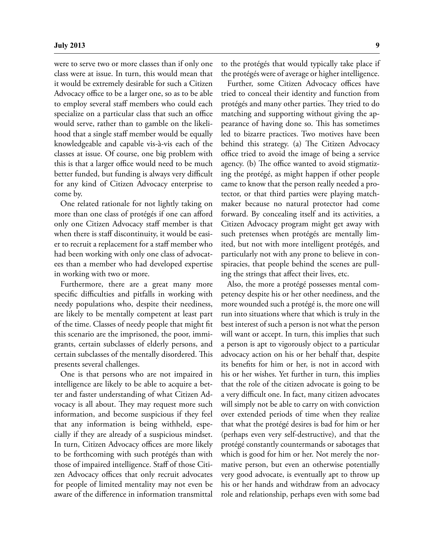were to serve two or more classes than if only one class were at issue. In turn, this would mean that it would be extremely desirable for such a Citizen Advocacy office to be a larger one, so as to be able to employ several staff members who could each specialize on a particular class that such an office would serve, rather than to gamble on the likelihood that a single staff member would be equally knowledgeable and capable vis-à-vis each of the classes at issue. Of course, one big problem with this is that a larger office would need to be much better funded, but funding is always very difficult for any kind of Citizen Advocacy enterprise to come by.

One related rationale for not lightly taking on more than one class of protégés if one can afford only one Citizen Advocacy staff member is that when there is staff discontinuity, it would be easier to recruit a replacement for a staff member who had been working with only one class of advocatees than a member who had developed expertise in working with two or more.

Furthermore, there are a great many more specific difficulties and pitfalls in working with needy populations who, despite their neediness, are likely to be mentally competent at least part of the time. Classes of needy people that might fit this scenario are the imprisoned, the poor, immigrants, certain subclasses of elderly persons, and certain subclasses of the mentally disordered. This presents several challenges.

One is that persons who are not impaired in intelligence are likely to be able to acquire a better and faster understanding of what Citizen Advocacy is all about. They may request more such information, and become suspicious if they feel that any information is being withheld, especially if they are already of a suspicious mindset. In turn, Citizen Advocacy offices are more likely to be forthcoming with such protégés than with those of impaired intelligence. Staff of those Citizen Advocacy offices that only recruit advocates for people of limited mentality may not even be aware of the difference in information transmittal to the protégés that would typically take place if the protégés were of average or higher intelligence.

Further, some Citizen Advocacy offices have tried to conceal their identity and function from protégés and many other parties. They tried to do matching and supporting without giving the appearance of having done so. This has sometimes led to bizarre practices. Two motives have been behind this strategy. (a) The Citizen Advocacy office tried to avoid the image of being a service agency. (b) The office wanted to avoid stigmatizing the protégé, as might happen if other people came to know that the person really needed a protector, or that third parties were playing matchmaker because no natural protector had come forward. By concealing itself and its activities, a Citizen Advocacy program might get away with such pretenses when protégés are mentally limited, but not with more intelligent protégés, and particularly not with any prone to believe in conspiracies, that people behind the scenes are pulling the strings that affect their lives, etc.

Also, the more a protégé possesses mental competency despite his or her other neediness, and the more wounded such a protégé is, the more one will run into situations where that which is truly in the best interest of such a person is not what the person will want or accept. In turn, this implies that such a person is apt to vigorously object to a particular advocacy action on his or her behalf that, despite its benefits for him or her, is not in accord with his or her wishes. Yet further in turn, this implies that the role of the citizen advocate is going to be a very difficult one. In fact, many citizen advocates will simply not be able to carry on with conviction over extended periods of time when they realize that what the protégé desires is bad for him or her (perhaps even very self-destructive), and that the protégé constantly countermands or sabotages that which is good for him or her. Not merely the normative person, but even an otherwise potentially very good advocate, is eventually apt to throw up his or her hands and withdraw from an advocacy role and relationship, perhaps even with some bad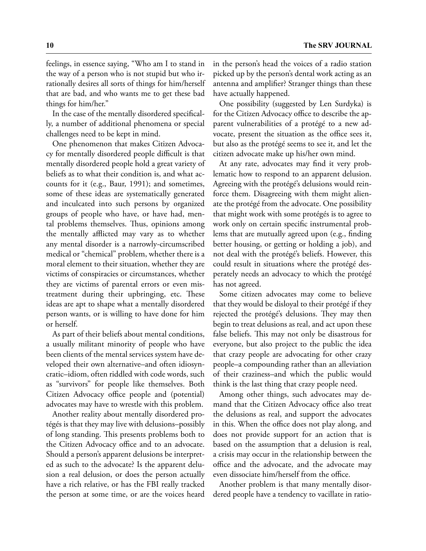feelings, in essence saying, "Who am I to stand in the way of a person who is not stupid but who irrationally desires all sorts of things for him/herself that are bad, and who wants me to get these bad things for him/her."

In the case of the mentally disordered specifically, a number of additional phenomena or special challenges need to be kept in mind.

One phenomenon that makes Citizen Advocacy for mentally disordered people difficult is that mentally disordered people hold a great variety of beliefs as to what their condition is, and what accounts for it (e.g., Baur, 1991); and sometimes, some of these ideas are systematically generated and inculcated into such persons by organized groups of people who have, or have had, mental problems themselves. Thus, opinions among the mentally afflicted may vary as to whether any mental disorder is a narrowly-circumscribed medical or "chemical" problem, whether there is a moral element to their situation, whether they are victims of conspiracies or circumstances, whether they are victims of parental errors or even mistreatment during their upbringing, etc. These ideas are apt to shape what a mentally disordered person wants, or is willing to have done for him or herself.

As part of their beliefs about mental conditions, a usually militant minority of people who have been clients of the mental services system have developed their own alternative–and often idiosyncratic–idiom, often riddled with code words, such as "survivors" for people like themselves. Both Citizen Advocacy office people and (potential) advocates may have to wrestle with this problem.

Another reality about mentally disordered protégés is that they may live with delusions–possibly of long standing. This presents problems both to the Citizen Advocacy office and to an advocate. Should a person's apparent delusions be interpreted as such to the advocate? Is the apparent delusion a real delusion, or does the person actually have a rich relative, or has the FBI really tracked the person at some time, or are the voices heard

in the person's head the voices of a radio station picked up by the person's dental work acting as an antenna and amplifier? Stranger things than these have actually happened.

One possibility (suggested by Len Surdyka) is for the Citizen Advocacy office to describe the apparent vulnerabilities of a protégé to a new advocate, present the situation as the office sees it, but also as the protégé seems to see it, and let the citizen advocate make up his/her own mind.

At any rate, advocates may find it very problematic how to respond to an apparent delusion. Agreeing with the protégé's delusions would reinforce them. Disagreeing with them might alienate the protégé from the advocate. One possibility that might work with some protégés is to agree to work only on certain specific instrumental problems that are mutually agreed upon (e.g., finding better housing, or getting or holding a job), and not deal with the protégé's beliefs. However, this could result in situations where the protégé desperately needs an advocacy to which the protégé has not agreed.

Some citizen advocates may come to believe that they would be disloyal to their protégé if they rejected the protégé's delusions. They may then begin to treat delusions as real, and act upon these false beliefs. This may not only be disastrous for everyone, but also project to the public the idea that crazy people are advocating for other crazy people–a compounding rather than an alleviation of their craziness–and which the public would think is the last thing that crazy people need.

Among other things, such advocates may demand that the Citizen Advocacy office also treat the delusions as real, and support the advocates in this. When the office does not play along, and does not provide support for an action that is based on the assumption that a delusion is real, a crisis may occur in the relationship between the office and the advocate, and the advocate may even dissociate him/herself from the office.

Another problem is that many mentally disordered people have a tendency to vacillate in ratio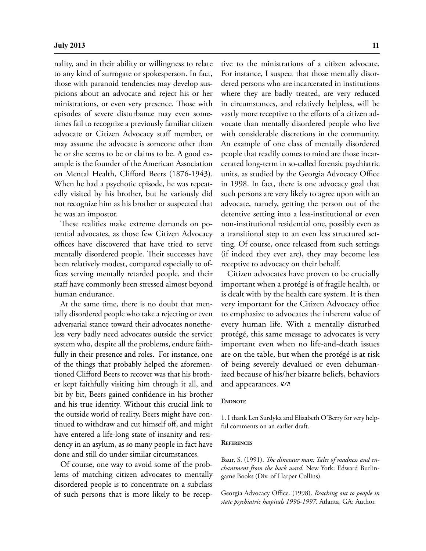nality, and in their ability or willingness to relate to any kind of surrogate or spokesperson. In fact, those with paranoid tendencies may develop suspicions about an advocate and reject his or her ministrations, or even very presence. Those with episodes of severe disturbance may even sometimes fail to recognize a previously familiar citizen advocate or Citizen Advocacy staff member, or may assume the advocate is someone other than he or she seems to be or claims to be. A good example is the founder of the American Association on Mental Health, Clifford Beers (1876-1943). When he had a psychotic episode, he was repeatedly visited by his brother, but he variously did not recognize him as his brother or suspected that he was an impostor.

These realities make extreme demands on potential advocates, as those few Citizen Advocacy offices have discovered that have tried to serve mentally disordered people. Their successes have been relatively modest, compared especially to offices serving mentally retarded people, and their staff have commonly been stressed almost beyond human endurance.

At the same time, there is no doubt that mentally disordered people who take a rejecting or even adversarial stance toward their advocates nonetheless very badly need advocates outside the service system who, despite all the problems, endure faithfully in their presence and roles. For instance, one of the things that probably helped the aforementioned Clifford Beers to recover was that his brother kept faithfully visiting him through it all, and bit by bit, Beers gained confidence in his brother and his true identity. Without this crucial link to the outside world of reality, Beers might have continued to withdraw and cut himself off, and might have entered a life-long state of insanity and residency in an asylum, as so many people in fact have done and still do under similar circumstances.

Of course, one way to avoid some of the problems of matching citizen advocates to mentally disordered people is to concentrate on a subclass of such persons that is more likely to be receptive to the ministrations of a citizen advocate. For instance, I suspect that those mentally disordered persons who are incarcerated in institutions where they are badly treated, are very reduced in circumstances, and relatively helpless, will be vastly more receptive to the efforts of a citizen advocate than mentally disordered people who live with considerable discretions in the community. An example of one class of mentally disordered people that readily comes to mind are those incarcerated long-term in so-called forensic psychiatric units, as studied by the Georgia Advocacy Office in 1998. In fact, there is one advocacy goal that such persons are very likely to agree upon with an advocate, namely, getting the person out of the detentive setting into a less-institutional or even non-institutional residential one, possibly even as a transitional step to an even less structured setting. Of course, once released from such settings (if indeed they ever are), they may become less receptive to advocacy on their behalf.

Citizen advocates have proven to be crucially important when a protégé is of fragile health, or is dealt with by the health care system. It is then very important for the Citizen Advocacy office to emphasize to advocates the inherent value of every human life. With a mentally disturbed protégé, this same message to advocates is very important even when no life-and-death issues are on the table, but when the protégé is at risk of being severely devalued or even dehumanized because of his/her bizarre beliefs, behaviors and appearances.  $\mathcal{O}$ 

#### **ENDNOTE**

1. I thank Len Surdyka and Elizabeth O'Berry for very helpful comments on an earlier draft.

#### **REFERENCES**

Baur, S. (1991). The dinosaur man: Tales of madness and en*chantment from the back ward.* New York: Edward Burlingame Books (Div. of Harper Collins).

Georgia Advocacy Office. (1998). *Reaching out to people in state psychiatric hospitals 1996-1997.* Atlanta, GA: Author.